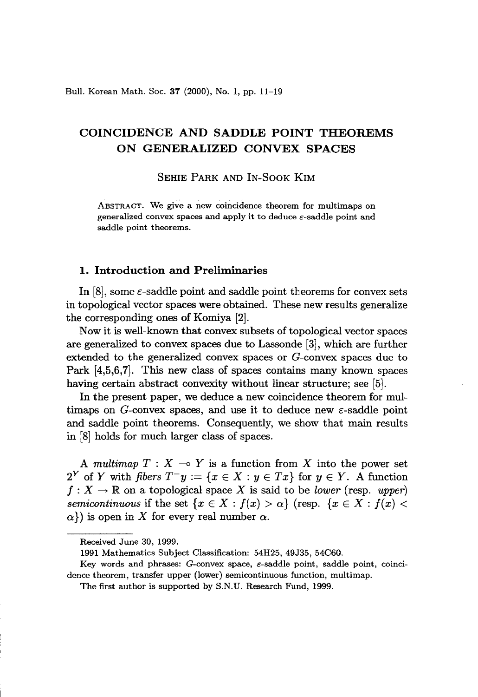Bull. Korean Math. Soc. 37 (2000), No. 1, pp. 11-19

# COINCIDENCE AND SADDLE POINT THEOREMS ON GENERALIZED CONVEX SPACES

SEHIE PARK AND IN-SOOK KIM

ABSTRACT. We give a new coincidence theorem for multimaps on generalized convex spaces and apply it to deduce  $\varepsilon$ -saddle point and saddle point theorems.

### 1. Introduction and Preliminaries

In  $[8]$ , some  $\varepsilon$ -saddle point and saddle point theorems for convex sets in topological vector spaces were obtained. These new results generalize the corresponding ones of Komiya [2].

Now it is well-known that convex subsets of topological vector spaces are generalized to convex spaces due to Lassonde [3], which are further extended to the generalized convex spaces or G-convex spaces due to Park [4,5,6,7]. This new class of spaces contains many known spaces having certain abstract convexity without linear structure; see [5].

In the present paper, we deduce a new coincidence theorem for multimaps on G-convex spaces, and use it to deduce new  $\varepsilon$ -saddle point and saddle point theorems. Consequently, we show that main results in [8] holds for much larger class of spaces.

A *multimap*  $T : X \rightarrow Y$  is a function from X into the power set  $2^Y$  of Y with *fibers*  $T^-y := \{x \in X : y \in Tx\}$  for  $y \in Y$ . A function  $f: X \to \mathbb{R}$  on a topological space X is said to be *lower* (resp. *upper*) *semicontinuous* if the set  ${x \in X : f(x) > a}$  (resp.  ${x \in X : f(x) < a}$ )  $\alpha$ }) is open in X for every real number  $\alpha$ .

Received June 30, 1999.

<sup>1991</sup> Mathematics Subject Classification: 54H25, 49J35, 54C60.

Key words and phrases: G-convex space,  $\varepsilon$ -saddle point, saddle point, coincidence theorem, transfer upper (lower) semicontinuous function, multimap.

The first author is supported by S.N.D. Research Fund, 1999.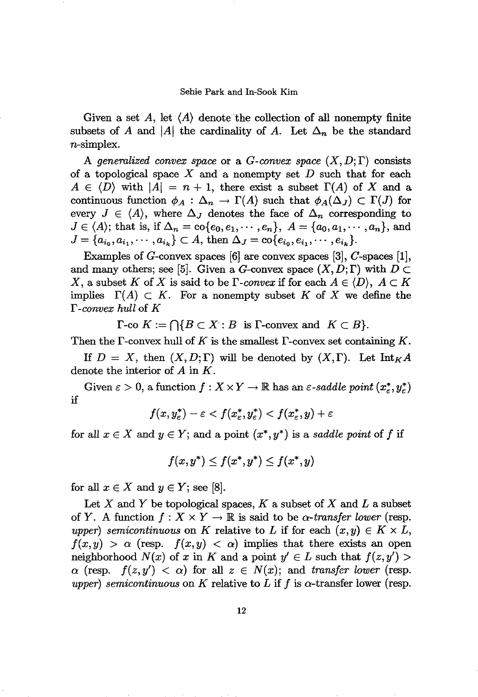Given a set A, let  $\langle A \rangle$  denote the collection of all nonempty finite subsets of A and |A| the cardinality of A. Let  $\Delta_n$  be the standard n-simplex.

A generalized convex space or a *G*-convex space  $(X, D; \Gamma)$  consists of a topological space  $X$  and a nonempty set  $D$  such that for each  $A \in \langle D \rangle$  with  $|A| = n + 1$ , there exist a subset  $\Gamma(A)$  of X and a continuous function  $\phi_A : \Delta_n \to \Gamma(A)$  such that  $\phi_A(\Delta_i) \subset \Gamma(J)$  for every  $J \in \langle A \rangle$ , where  $\Delta_J$  denotes the face of  $\Delta_n$  corresponding to  $J \in \langle A \rangle$ ; that is, if  $\Delta_n = \text{co}\{e_0, e_1, \dots, e_n\}, A = \{a_0, a_1, \dots, a_n\},$  and  $J = \{a_{i_0}, a_{i_1}, \cdots, a_{i_k}\} \subset A$ , then  $\Delta_J = \text{co}\{e_{i_0}, e_{i_1}, \cdots, e_{i_k}\}.$ 

Examples of  $G$ -convex spaces [6] are convex spaces [3],  $C$ -spaces [1], and many others; see [5]. Given a G-convex space  $(X, D; \Gamma)$  with  $D \subset$ X, a subset K of X is said to be  $\Gamma$ *-convex* if for each  $A \in \langle D \rangle$ ,  $A \subset K$ implies  $\Gamma(A) \subset K$ . For a nonempty subset K of X we define the r *-convex hull* of *K*

 $\Gamma$ -co  $K := \bigcap \{ B \subset X : B$  is  $\Gamma$ -convex and  $K \subset B \}.$ 

Then the  $\Gamma$ -convex hull of  $K$  is the smallest  $\Gamma$ -convex set containing  $K$ .

If  $D = X$ , then  $(X, D; \Gamma)$  will be denoted by  $(X, \Gamma)$ . Let  $\text{Int}_K A$ denote the interior of A in K.

Given  $\varepsilon > 0$ , a function  $f: X \times Y \to \mathbb{R}$  has an  $\varepsilon$ -saddle point  $(x_{\varepsilon}^*, y_{\varepsilon}^*)$ if

$$
f(x, y_{\varepsilon}^*) - \varepsilon < f(x_{\varepsilon}^*, y_{\varepsilon}^*) < f(x_{\varepsilon}^*, y) + \varepsilon
$$

for all  $x \in X$  and  $y \in Y$ ; and a point  $(x^*, y^*)$  is a *saddle point* of f if

$$
f(x,y^*)\leq f(x^*,y^*)\leq f(x^*,y)
$$

for all  $x \in X$  and  $y \in Y$ ; see [8].

Let X and Y be topological spaces,  $K$  a subset of X and L a subset of *Y*. A function  $f: X \times Y \to \mathbb{R}$  is said to be  $\alpha$ -transfer lower (resp. *upper) semicontinuous* on *K* relative to *L* if for each  $(x, y) \in K \times L$ ,  $f(x,y) > \alpha$  (resp.  $f(x,y) < \alpha$ ) implies that there exists an open neighborhood  $N(x)$  of x in K and a point  $y' \in L$  such that  $f(z, y') >$  $\alpha$  (resp.  $f(z, y') < \alpha$ ) for all  $z \in N(x)$ ; and *transfer lower* (resp. *upper) semicontinuous* on *K* relative to *L* if *f* is  $\alpha$ -transfer lower (resp.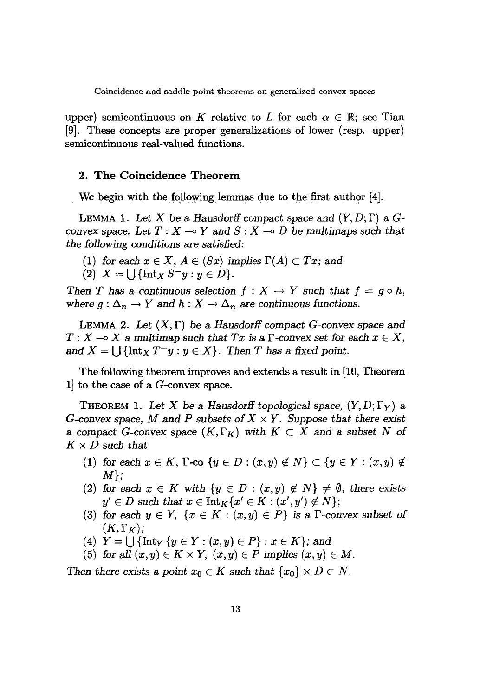upper) semicontinuous on K relative to L for each  $\alpha \in \mathbb{R}$ ; see Tian [9]. These concepts are proper generalizations of lower (resp. upper) semicontinuous real-valued functions.

## **2. The Coincidence Theorem**

We begin with the following lemmas due to the first author  $[4]$ .

LEMMA 1. Let X be a Hausdorff compact space and  $(Y, D; \Gamma)$  a G*convex* space. Let  $T : X \to Y$  and  $S : X \to D$  be multimaps such that *the following conditions* are satisfied:

- (1) for each  $x \in X$ ,  $A \in \langle Sx \rangle$  implies  $\Gamma(A) \subset Tx$ ; and
- (2)  $X = \bigcup \{ \text{Int}_X S^- y : y \in D \}.$

*Then T* has a continuous selection  $f : X \to Y$  such that  $f = g \circ h$ , where  $g: \Delta_n \to Y$  and  $h: X \to \Delta_n$  are continuous functions.

LEMMA 2. Let  $(X, \Gamma)$  be a Hausdorff compact *G*-convex space and  $T: X \longrightarrow X$  a *multimap* such that *Tx* is a  $\Gamma$ -convex set for each  $x \in X$ , and  $X = \bigcup \{ \text{Int}_X T^- y : y \in X \}$ . Then *T* has a fixed point.

The following theorem improves and extends a result in [10, Theorem 1] to the case of a G-convex space.

THEOREM 1. Let X be a Hausdorff topological space,  $(Y, D; \Gamma_Y)$  a *G*-convex space, M and P subsets of  $X \times Y$ . Suppose that there exist a compact *G*-convex space  $(K, \Gamma_K)$  with  $K \subset X$  and a subset N of  $K \times D$  *such that* 

- (1) for each  $x \in K$ ,  $\Gamma$ -co  $\{y \in D : (x, y) \notin N\} \subset \{y \in Y : (x, y) \notin K\}$ *M};*
- (2) for each  $x \in K$  with  $\{y \in D : (x, y) \notin N\} \neq \emptyset$ , there exists  $y' \in D$  such that  $x \in \text{Int}_K\{x' \in K : (x', y') \notin N\};$
- (3) for each  $y \in Y$ ,  $\{x \in K : (x, y) \in P\}$  is a *r-convex* subset of  $(K,\Gamma_K);$
- (4)  $Y = \bigcup \{ \text{Int}_Y \{ y \in Y : (x, y) \in P \} : x \in K \}$ ; and
- (5) for all  $(x, y) \in K \times Y$ ,  $(x, y) \in P$  *implies*  $(x, y) \in M$ .

*Then* there exists a point  $x_0 \in K$  such that  $\{x_0\} \times D \subset N$ .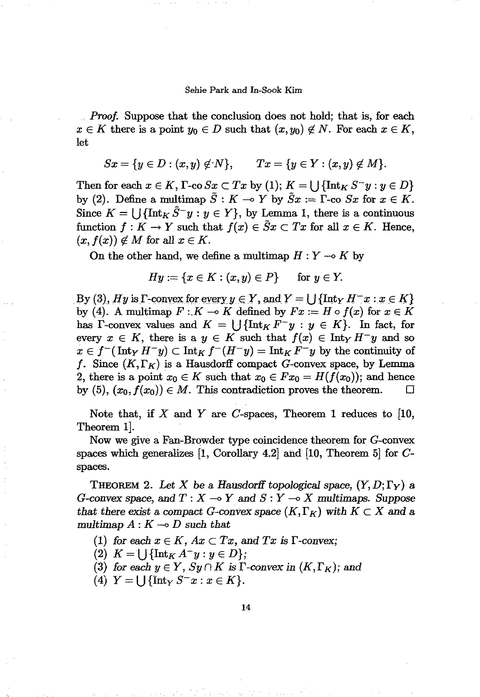*Proof.* Suppose that the conclusion does not hold; that is, for each  $x \in K$  there is a point  $y_0 \in D$  such that  $(x, y_0) \notin N$ . For each  $x \in K$ , let

$$
Sx = \{y \in D : (x, y) \notin N\},
$$
  $Tx = \{y \in Y : (x, y) \notin M\}.$ 

Then for each  $x \in K$ ,  $\Gamma$ -co  $Sx \subset Tx$  by (1);  $K = \cup \{\text{Int}_K S^{-}y : y \in D\}$ by (2). Define a multimap  $\tilde{S}: K \multimap Y$  by  $\tilde{S}x := \Gamma$ -co  $Sx$  for  $x \in K$ . Since  $K = \bigcup \{\text{Int}_K \tilde{S}^{\perp} y : y \in Y\}$ , by Lemma 1, there is a continuous function  $f: K \to Y$  such that  $f(x) \in \tilde{S}x \subset Tx$  for all  $x \in K$ . Hence,  $(x, f(x)) \notin M$  for all  $x \in K$ .

On the other hand, we define a multimap  $H: Y \multimap K$  by

$$
Hy := \{x \in K : (x, y) \in P\} \quad \text{for } y \in Y.
$$

By (3), *Hy* is  $\Gamma$ -convex for every  $y \in Y$ , and  $Y = \iint \{\text{Int}_Y H^- x : x \in K\}$ by (4). A multimap  $F: K \to K$  defined by  $Fx := H \circ f(x)$  for  $x \in K$ has  $\Gamma$ -convex values and  $K = \bigcup \{\text{Int}_K F^{-}y : y \in K\}$ . In fact, for every  $x \in K$ , there is a  $y \in K$  such that  $f(x) \in \text{Int}_Y H^{-1}y$  and so  $x \in f^{-1}(\text{Int}_Y H^{-1}y) \subset \text{Int}_K f^{-1}(H^{-1}y) = \text{Int}_K F^{-1}y$  by the continuity of f. Since  $(K,\Gamma_K)$  is a Hausdorff compact G-convex space, by Lemma 2, there is a point  $x_0 \in K$  such that  $x_0 \in Fx_0 = H(f(x_0))$ ; and hence by (5),  $(x_0, f(x_0)) \in M$ . This contradiction proves the theorem.  $\Box$ 

Note that, if X and Y are C-spaces, Theorem 1 reduces to [10, Theorem 1].

Now we give a Fan-Browder type coincidence theorem for G-convex spaces which generalizes  $[1,$  Corollary 4.2] and  $[10,$  Theorem 5] for Cspaces.

THEOREM 2. Let X be a Hausdorff topological space,  $(Y, D; \Gamma_Y)$  a *G*-convex space, and  $T: X \to Y$  and  $S: Y \to X$  multimaps. Suppose *that* there exist a compact *G*-convex space  $(K, \Gamma_K)$  with  $K \subset X$  and a multimap  $A: K \rightarrow D$  such that

- (1) *for* each  $x \in K$ ,  $Ax \subset Tx$ , and  $Tx$  is  $\Gamma$ -convex;
- *(2)*  $K = \bigcup \{ \text{Int}_K A^- y : y \in D \};\$
- (3) for each  $y \in Y$ ,  $Sy \cap K$  is  $\Gamma$ -convex in  $(K, \Gamma_K)$ ; and
- (4)  $Y = \{\int \{\text{Int}_Y S^{-}x : x \in K\}.$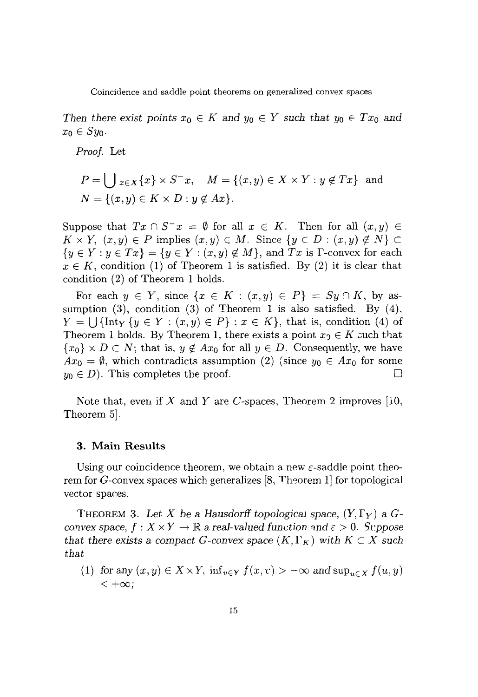*Then there exist points*  $x_0 \in K$  *and*  $y_0 \in Y$  *such that*  $y_0 \in Tx_0$  *and*  $x_0 \in Sy_0$ .

*Proof.* Let

$$
P = \bigcup_{x \in X} \{x\} \times S^{-}x, \quad M = \{(x, y) \in X \times Y : y \notin Tx\} \text{ and } N = \{(x, y) \in K \times D : y \notin Ax\}.
$$

Suppose that  $Tx \cap S^{-}x = \emptyset$  for all  $x \in K$ . Then for all  $(x, y) \in$  $K \times Y$ ,  $(x, y) \in P$  implies  $(x, y) \in M$ . Since  $\{y \in D : (x, y) \notin N\} \subset$  ${y \in Y : y \in Tx} = {y \in Y : (x, y) \notin M}$ , and *Tx* is *T*-convex for each  $x \in K$ , condition (1) of Theorem 1 is satisfied. By (2) it is clear that condition (2) of Theorem 1 holds.

For each  $y \in Y$ , since  $\{x \in K : (x, y) \in P\} = Sy \cap K$ , by assumption  $(3)$ , condition  $(3)$  of Theorem 1 is also satisfied. By  $(4)$ ,  $Y = \bigcup \{\text{Int}_Y \{y \in Y : (x, y) \in P\} : x \in K\},\$  that is, condition (4) of Theorem 1 holds. By Theorem 1, there exists a point  $x_0 \in K$  such that  ${x_0} \times D \subset N$ ; that is,  $y \notin Ax_0$  for all  $y \in D$ . Consequently, we have  $Ax_0 = \emptyset$ , which contradicts assumption (2) (since  $y_0 \in Ax_0$  for some  $y_0 \in D$ . This completes the proof.

Note that, even if X and Y are C-spaces, Theorem 2 improves [10, Theorem 5].

### **3. Main Results**

Using our coincidence theorem, we obtain a new  $\varepsilon$ -saddle point theorem for G-convex spaces which generalizes  $[8,$  Theorem 1] for topological vector spaces.

THEOREM 3. Let X be a Hausdorff topological space,  $(Y, \Gamma_Y)$  a  $G$ *convex* space,  $f: X \times Y \to \mathbb{R}$  a real-valued function and  $\varepsilon > 0$ . Suppose *that there exists* a *compact G*-convex *space*  $(K, \Gamma_K)$  *with*  $K \subset X$  *such that*

(1) for any  $(x, y) \in X \times Y$ ,  $\inf_{v \in Y} f(x, v) > -\infty$  and  $\sup_{u \in X} f(u, y)$  $< +\infty$ ;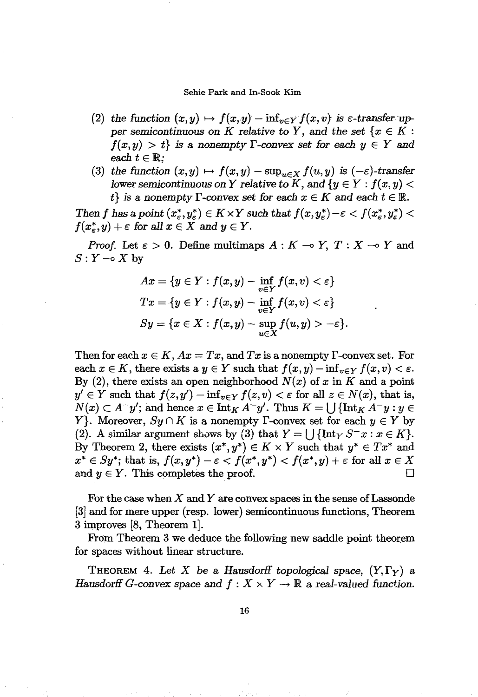- (2) the function  $(x, y) \mapsto f(x, y) inf_{y \in Y} f(x, y)$  is  $\varepsilon$ -transfer up*per* semicontinuous on K relative to Y, and the set  $\{x \in K :$  $f(x, y) > t$  *is a nonempty*  $\Gamma$ -convex set for each  $y \in Y$  and each  $t \in \mathbb{R}$ ;
- (3) *the function*  $(x, y) \mapsto f(x, y) \sup_{u \in X} f(u, y)$  *is*  $(-\varepsilon)$ -transfer *lower semicontinuous* on Y *relative* to K, and  $\{y \in Y : f(x, y)$  $t\}$  *is* a nonempty  $\Gamma$ -convex set for each  $x \in K$  and each  $t \in \mathbb{R}$ .

*Then f* has a point  $(x_{\varepsilon}^*, y_{\varepsilon}^*) \in K \times Y$  such that  $f(x, y_{\varepsilon}^*) - \varepsilon < f(x_{\varepsilon}^*, y_{\varepsilon}^*) <$  $f(x^*_{\varepsilon}, y) + \varepsilon$  for all  $x \in X$  and  $y \in Y$ .

*Proof.* Let  $\varepsilon > 0$ . Define multimaps  $A: K \to Y$ ,  $T: X \to Y$  and  $S: Y \longrightarrow X$  by

$$
Ax = \{y \in Y : f(x, y) - \inf_{v \in Y} f(x, v) < \varepsilon\}
$$
\n
$$
Tx = \{y \in Y : f(x, y) - \inf_{v \in Y} f(x, v) < \varepsilon\}
$$
\n
$$
Sy = \{x \in X : f(x, y) - \sup_{u \in X} f(u, y) > -\varepsilon\}.
$$

Then for each  $x \in K$ ,  $Ax = Tx$ , and  $Tx$  is a nonempty  $\Gamma$ -convex set. For each  $x \in K$ , there exists a  $y \in Y$  such that  $f(x, y) - inf_{y \in Y} f(x, y) < \varepsilon$ . By (2), there exists an open neighborhood  $N(x)$  of x in K and a point  $y' \in Y$  such that  $f(z, y') - \inf_{v \in Y} f(z, v) < \varepsilon$  for all  $z \in N(x)$ , that is,  $N(x) \subset A^{-}y'$ ; and hence  $x \in \text{Int}_{K} A^{-}y'$ . Thus  $K = \bigcup \{\text{Int}_{K} A^{-}y : y \in$ *Y*. Moreover,  $Sy \cap K$  is a nonempty  $\Gamma$ -convex set for each  $y \in Y$  by (2). A similar argument shows by (3) that  $Y = \bigcup \{\text{Int}_Y S^- x : x \in K\}.$ By Theorem 2, there exists  $(x^*, y^*) \in K \times Y$  such that  $y^* \in Tx^*$  and  $x^* \in Sy^*$ ; that is,  $f(x, y^*) - \varepsilon < f(x^*, y^*) < f(x^*, y) + \varepsilon$  for all  $x \in X$ and  $y \in Y$ . This completes the proof.  $\Box$ 

For the case when  $X$  and  $Y$  are convex spaces in the sense of Lassonde [3] and for mere upper (resp. lower) semicontinuous functions, Theorem 3 improves [8, Theorem 1].

From Theorem 3 we deduce the following new saddle point theorem. for spaces without linear structure.

THEOREM 4. Let X be a Hausdorff topological space,  $(Y, \Gamma_Y)$  a *Hausdorff G*-convex space and  $f : X \times Y \to \mathbb{R}$  a real-valued function.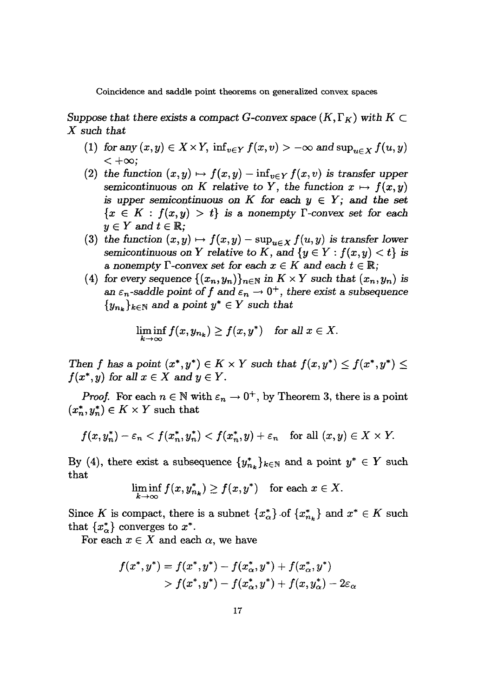*Suppose that there exists* a *compact G*-convex *space*  $(K, \Gamma_K)$  *with*  $K \subset$ X such *that*

- (1) for any  $(x, y) \in X \times Y$ ,  $\inf_{v \in Y} f(x, v) > -\infty$  and  $\sup_{u \in X} f(u, y)$  $< +\infty$ ;
- (2) the function  $(x, y) \mapsto f(x, y) inf_{y \in Y} f(x, y)$  is transfer upper semicontinuous on K relative to Y, the function  $x \mapsto f(x, y)$ is upper semicontinuous on  $K$  for each  $y \in Y$ ; and the set  ${x \in K : f(x, y) > t}$  is a nonempty  $\Gamma$ -convex set for each  $y \in Y$  and  $t \in \mathbb{R}$ ;
- (3) the function  $(x, y) \mapsto f(x, y) \sup_{u \in X} f(u, y)$  is transfer lower semicontinuous on Y relative to K, and  $\{y \in Y : f(x, y) < t\}$  is a nonempty  $\Gamma$ -convex set for each  $x \in K$  and each  $t \in \mathbb{R}$ ;
- (4) for every sequence  $\{(x_n, y_n)\}_{n \in \mathbb{N}}$  in  $K \times Y$  such that  $(x_n, y_n)$  is an  $\varepsilon_n$ -saddle point of f and  $\varepsilon_n \to 0^+$ , there exist a subsequence  ${y_{n_k}}_{k \in \mathbb{N}}$  and a point  $y^* \in Y$  such that

$$
\liminf_{k\to\infty} f(x,y_{n_k}) \ge f(x,y^*) \quad \text{for all } x\in X.
$$

*Then f* has a point  $(x^*, y^*) \in K \times Y$  such that  $f(x, y^*) \leq f(x^*, y^*) \leq$  $f(x^*, y)$  *for all*  $x \in X$  *and*  $y \in Y$ *.* 

*Proof.* For each  $n \in \mathbb{N}$  with  $\varepsilon_n \to 0^+$ , by Theorem 3, there is a point  $(x_n^*,y_n^*) \in K \times Y$  such that

$$
f(x,y_n^*)-\varepsilon_n
$$

By (4), there exist a subsequence  $\{y_{n_k}^*\}_{k\in\mathbb{N}}$  and a point  $y^*\in Y$  such that

$$
\liminf_{k\to\infty} f(x,y_{n_k}^*) \ge f(x,y^*) \quad \text{for each } x\in X.
$$

Since K is compact, there is a subnet  $\{x_{\alpha}^*\}$  of  $\{x_{n_k}^*\}$  and  $x^* \in K$  such that  $\{x_{\alpha}^*\}$  converges to  $x^*$ .

For each  $x \in X$  and each  $\alpha$ , we have

$$
f(x^*, y^*) = f(x^*, y^*) - f(x^*_\alpha, y^*) + f(x^*_\alpha, y^*) \\ > f(x^*, y^*) - f(x^*_\alpha, y^*) + f(x, y^*_\alpha) - 2\varepsilon_\alpha
$$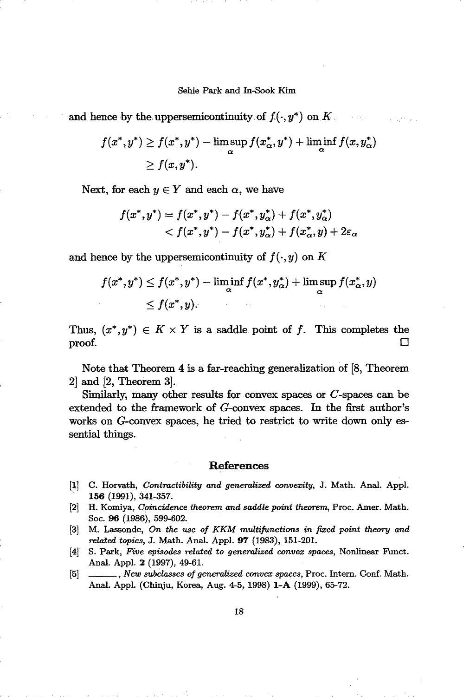and hence by the uppersemicontinuity of  $f(\cdot, y^*)$  on K.  $\tau \sim 0.3$  erg s

$$
f(x^*, y^*) \ge f(x^*, y^*) - \limsup_{\alpha} f(x_{\alpha}^*, y^*) + \liminf_{\alpha} f(x, y_{\alpha}^*)
$$
  

$$
\ge f(x, y^*).
$$

Next, for each  $y \in Y$  and each  $\alpha$ , we have

$$
\begin{aligned} f(x^*,y^*) &= f(x^*,y^*) - f(x^*,y^*_\alpha) + f(x^*,y^*_\alpha) \\ &< f(x^*,y^*) - f(x^*,y^*_\alpha) + f(x^*_\alpha,y) + 2\varepsilon_\alpha \end{aligned}
$$

and hence by the uppersemicontinuity of  $f(\cdot, y)$  on K

$$
f(x^*, y^*) \le f(x^*, y^*) - \liminf_{\alpha} f(x^*, y^*_{\alpha}) + \limsup_{\alpha} f(x^*_{\alpha}, y)
$$
  

$$
\le f(x^*, y).
$$

Thus,  $(x^*, y^*) \in K \times Y$  is a saddle point of f. This completes the  $\Box$ 

Note that Theorem 4 is a far-reaching generalization of [8, Theorem 2] and [2, Theorem 3].

Similarly, many other results for convex spaces or C-spaces can be extended to the framework of G-convex spaces. In the first author's works on G-convex spaces, he tried to restrict to write down only essential things.

### References

- [1] C. Horvath, *Contractibility and generalized convexity,* J. Math. Anal. Appl. 156 (1991), 341-357.
- [2] H. Komiya, *Coincidence theorem and saddle point theorem,* Proc. Amer. Math. Soc. 96 (1986), 599-602.
- [3] M. Lassonde, *On the use of KKM multijunctions in fixed point theory and related topics,* J. Math. Anal. Appl. 97 (1983), 151-201.
- [4] S. Park, *Five episodes related* to *generalized convex spaces,* Nonlinear Fund. Anal. Appl. 2 (1997), 49-61.
- [5] \_\_, *New subclasses of generalized convex spaces,* Proc. Intern. Conf. Math. Anal. Appl. (Chinju, Korea, Aug. 4-5, 1998) I-A (1999), 65-72.